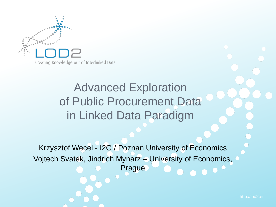

# Advanced Exploration of Public Procurement Data in Linked Data Paradigm

Krzysztof Wecel - I2G / Poznan University of Economics Vojtech Svatek, Jindrich Mynarz – University of Economics, Prague

EU-FP7 LOD2 Project Overview . Page 1 http://lod2.eu

http://lod2.eu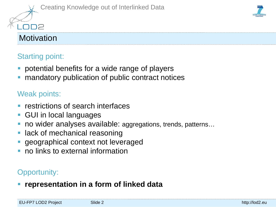# **Motivation**

#### Starting point:

- potential benefits for a wide range of players
- mandatory publication of public contract notices

#### Weak points:

- restrictions of search interfaces
- GUI in local languages
- no wider analyses available: aggregations, trends, patterns…
- lack of mechanical reasoning
- geographical context not leveraged
- no links to external information

#### Opportunity:

**representation in a form of linked data**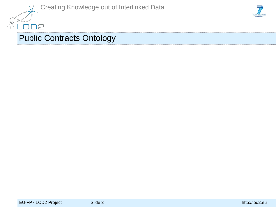

Creating Knowledge out of Interlinked Data

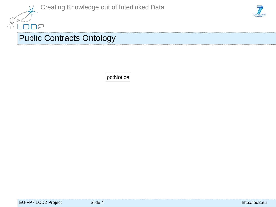

Creating Knowledge out of Interlinked Data



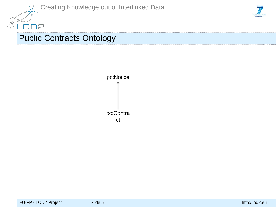



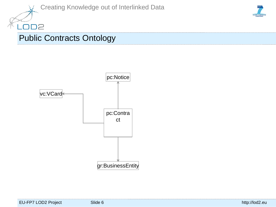

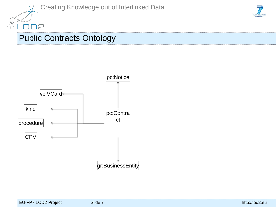

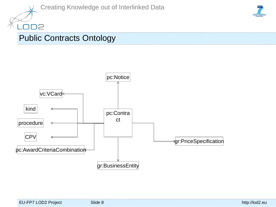

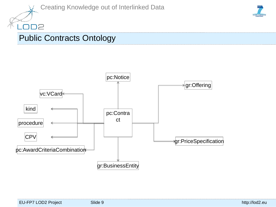

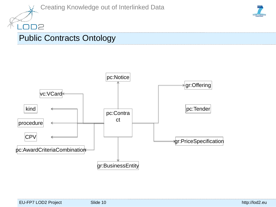

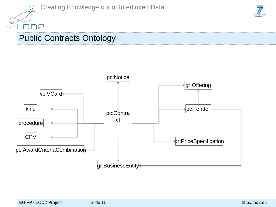

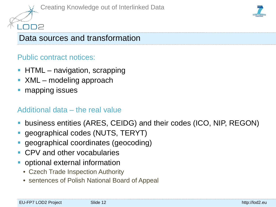#### Data sources and transformation

#### Public contract notices:

- **HTML** navigation, scrapping
- XML modeling approach
- mapping issues

#### Additional data – the real value

- business entities (ARES, CEIDG) and their codes (ICO, NIP, REGON)
- geographical codes (NUTS, TERYT)
- geographical coordinates (geocoding)
- CPV and other vocabularies
- optional external information
	- Czech Trade Inspection Authority
	- sentences of Polish National Board of Appeal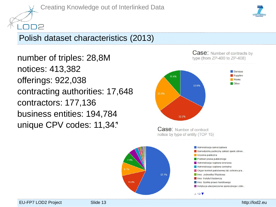



# Polish dataset characteristics (2013)

number of triples: 28,8M notices: 413,382 offerings: 922,038 contracting authorities: 17,648 contractors: 177,136 business entities: 194,784 unique CPV codes: 11,341







Inny: Spółka prawa handlowego

Instytucja ubezpieczenia społecznego i zdro...

**Case:** Number of contracts by

 $\land$  1/2  $\blacktriangledown$ 

7.4%

14.4%

57.1%

9.1%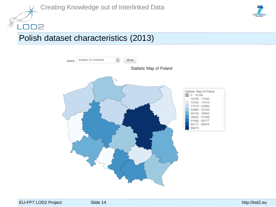

Creating Knowledge out of Interlinked Data



### Polish dataset characteristics (2013)

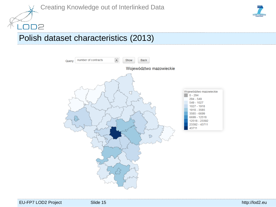

### Polish dataset characteristics (2013)



D2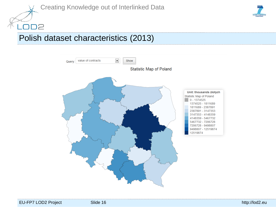

Creating Knowledge out of Interlinked Data



## Polish dataset characteristics (2013)

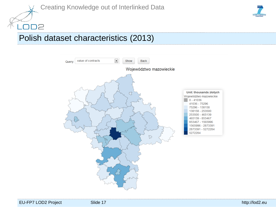

#### Polish dataset characteristics (2013)



D2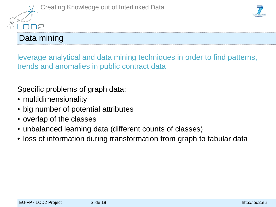



#### Data mining

leverage analytical and data mining techniques in order to find patterns, trends and anomalies in public contract data

Specific problems of graph data:

- multidimensionality
- big number of potential attributes
- overlap of the classes
- unbalanced learning data (different counts of classes)
- loss of information during transformation from graph to tabular data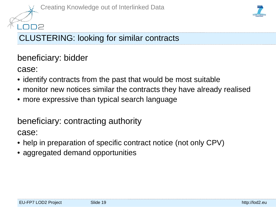

# CLUSTERING: looking for similar contracts

### beneficiary: bidder

case:

- identify contracts from the past that would be most suitable
- monitor new notices similar the contracts they have already realised
- more expressive than typical search language

### beneficiary: contracting authority

case:

- help in preparation of specific contract notice (not only CPV)
- aggregated demand opportunities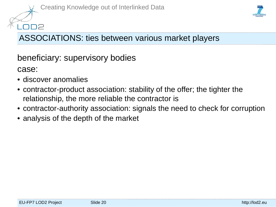



# ASSOCIATIONS: ties between various market players

beneficiary: supervisory bodies case:

- discover anomalies
- contractor-product association: stability of the offer; the tighter the relationship, the more reliable the contractor is
- contractor-authority association: signals the need to check for corruption
- analysis of the depth of the market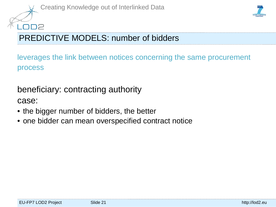



# PREDICTIVE MODELS: number of bidders

leverages the link between notices concerning the same procurement process

beneficiary: contracting authority

case:

- the bigger number of bidders, the better
- one bidder can mean overspecified contract notice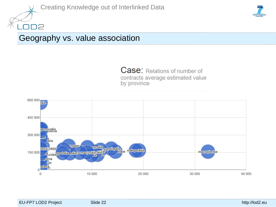

#### Geography vs. value association

Case: Relations of number of contracts average estimated value by province

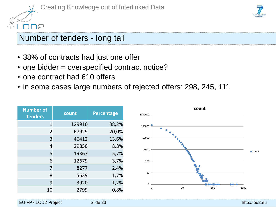



#### Number of tenders - long tail

- 38% of contracts had just one offer
- one bidder = overspecified contract notice?
- one contract had 610 offers
- in some cases large numbers of rejected offers: 298, 245, 111

| <b>Number of</b><br><b>Tenders</b> | count  | <b>Percentage</b> |
|------------------------------------|--------|-------------------|
| $\overline{1}$                     | 129910 | 38,2%             |
| $\overline{2}$                     | 67929  | 20,0%             |
| 3                                  | 46412  | 13,6%             |
| $\overline{4}$                     | 29850  | 8,8%              |
| 5                                  | 19367  | 5,7%              |
| 6                                  | 12679  | 3,7%              |
| 7                                  | 8277   | 2,4%              |
| 8                                  | 5639   | 1,7%              |
| 9                                  | 3920   | 1,2%              |
| 10                                 | 2799   | 0,8%              |

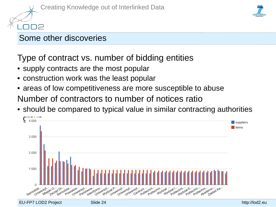### Some other discoveries

Type of contract vs. number of bidding entities

- supply contracts are the most popular
- construction work was the least popular
- areas of low competitiveness are more susceptible to abuse Number of contractors to number of notices ratio
- should be compared to typical value in similar contracting authorities